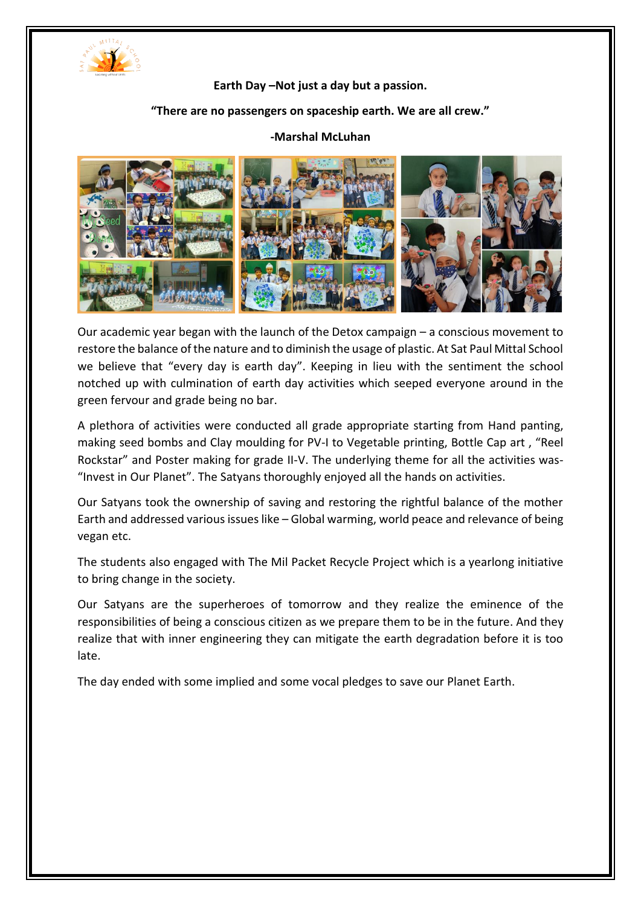

## **Earth Day –Not just a day but a passion.**

## **"There are no passengers on spaceship earth. We are all crew."**

## **-Marshal McLuhan**



Our academic year began with the launch of the Detox campaign – a conscious movement to restore the balance of the nature and to diminish the usage of plastic. At Sat Paul Mittal School we believe that "every day is earth day". Keeping in lieu with the sentiment the school notched up with culmination of earth day activities which seeped everyone around in the green fervour and grade being no bar.

A plethora of activities were conducted all grade appropriate starting from Hand panting, making seed bombs and Clay moulding for PV-I to Vegetable printing, Bottle Cap art , "Reel Rockstar" and Poster making for grade II-V. The underlying theme for all the activities was- "Invest in Our Planet". The Satyans thoroughly enjoyed all the hands on activities.

Our Satyans took the ownership of saving and restoring the rightful balance of the mother Earth and addressed various issues like – Global warming, world peace and relevance of being vegan etc.

The students also engaged with The Mil Packet Recycle Project which is a yearlong initiative to bring change in the society.

Our Satyans are the superheroes of tomorrow and they realize the eminence of the responsibilities of being a conscious citizen as we prepare them to be in the future. And they realize that with inner engineering they can mitigate the earth degradation before it is too late.

The day ended with some implied and some vocal pledges to save our Planet Earth.